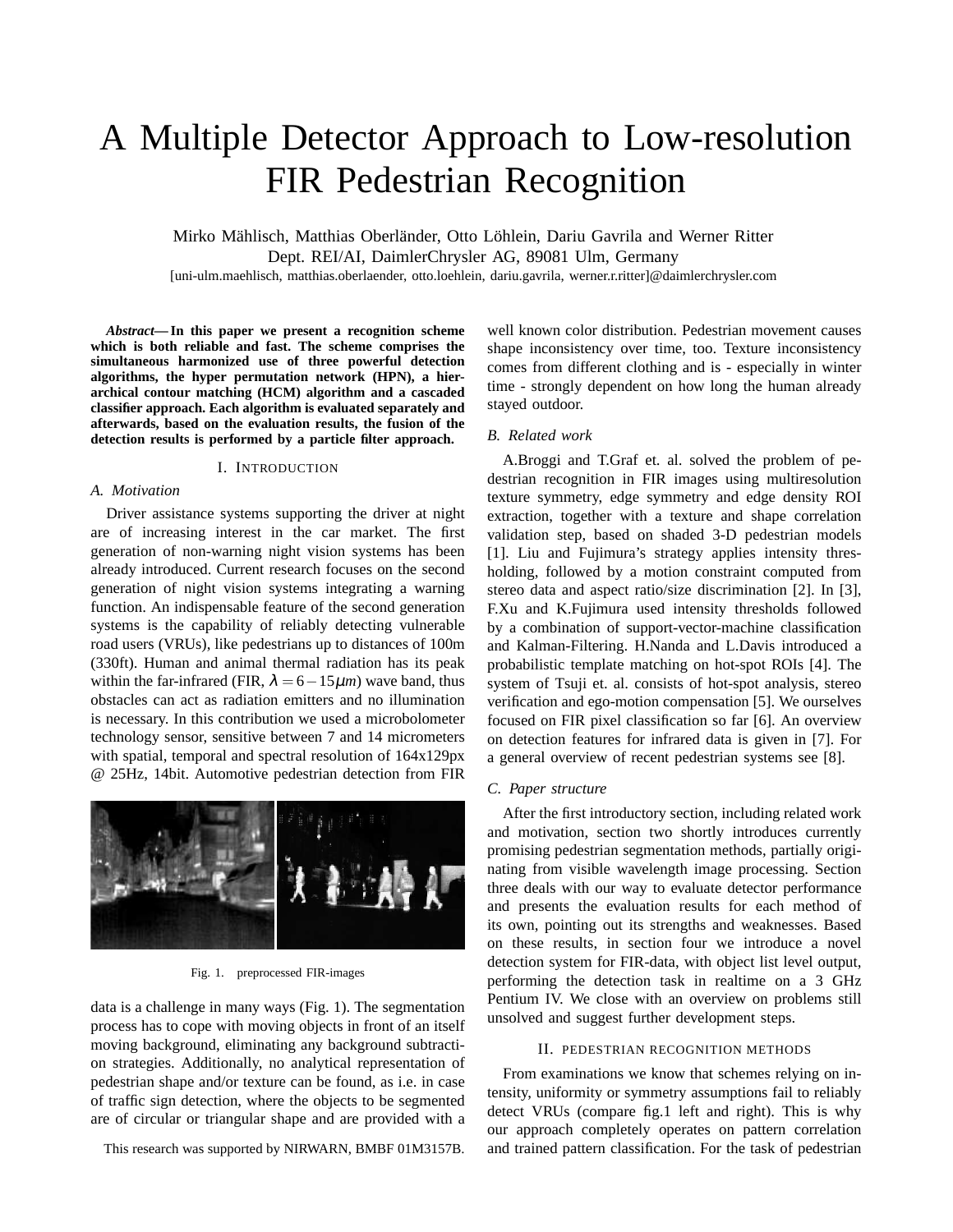# A Multiple Detector Approach to Low-resolution FIR Pedestrian Recognition

Mirko Mählisch, Matthias Oberländer, Otto Löhlein, Dariu Gavrila and Werner Ritter Dept. REI/AI, DaimlerChrysler AG, 89081 Ulm, Germany

[uni-ulm.maehlisch, matthias.oberlaender, otto.loehlein, dariu.gavrila, werner.r.ritter]@daimlerchrysler.com

*Abstract***— In this paper we present a recognition scheme which is both reliable and fast. The scheme comprises the simultaneous harmonized use of three powerful detection algorithms, the hyper permutation network (HPN), a hierarchical contour matching (HCM) algorithm and a cascaded classifier approach. Each algorithm is evaluated separately and afterwards, based on the evaluation results, the fusion of the detection results is performed by a particle filter approach.**

#### I. INTRODUCTION

### *A. Motivation*

Driver assistance systems supporting the driver at night are of increasing interest in the car market. The first generation of non-warning night vision systems has been already introduced. Current research focuses on the second generation of night vision systems integrating a warning function. An indispensable feature of the second generation systems is the capability of reliably detecting vulnerable road users (VRUs), like pedestrians up to distances of 100m (330ft). Human and animal thermal radiation has its peak within the far-infrared (FIR,  $\lambda = 6 - 15\mu m$ ) wave band, thus obstacles can act as radiation emitters and no illumination is necessary. In this contribution we used a microbolometer technology sensor, sensitive between 7 and 14 micrometers with spatial, temporal and spectral resolution of 164x129px @ 25Hz, 14bit. Automotive pedestrian detection from FIR



Fig. 1. preprocessed FIR-images

data is a challenge in many ways (Fig. 1). The segmentation process has to cope with moving objects in front of an itself moving background, eliminating any background subtraction strategies. Additionally, no analytical representation of pedestrian shape and/or texture can be found, as i.e. in case of traffic sign detection, where the objects to be segmented are of circular or triangular shape and are provided with a

This research was supported by NIRWARN, BMBF 01M3157B.

well known color distribution. Pedestrian movement causes shape inconsistency over time, too. Texture inconsistency comes from different clothing and is - especially in winter time - strongly dependent on how long the human already stayed outdoor.

## *B. Related work*

A.Broggi and T.Graf et. al. solved the problem of pedestrian recognition in FIR images using multiresolution texture symmetry, edge symmetry and edge density ROI extraction, together with a texture and shape correlation validation step, based on shaded 3-D pedestrian models [1]. Liu and Fujimura's strategy applies intensity thresholding, followed by a motion constraint computed from stereo data and aspect ratio/size discrimination [2]. In [3], F.Xu and K.Fujimura used intensity thresholds followed by a combination of support-vector-machine classification and Kalman-Filtering. H.Nanda and L.Davis introduced a probabilistic template matching on hot-spot ROIs [4]. The system of Tsuji et. al. consists of hot-spot analysis, stereo verification and ego-motion compensation [5]. We ourselves focused on FIR pixel classification so far [6]. An overview on detection features for infrared data is given in [7]. For a general overview of recent pedestrian systems see [8].

# *C. Paper structure*

After the first introductory section, including related work and motivation, section two shortly introduces currently promising pedestrian segmentation methods, partially originating from visible wavelength image processing. Section three deals with our way to evaluate detector performance and presents the evaluation results for each method of its own, pointing out its strengths and weaknesses. Based on these results, in section four we introduce a novel detection system for FIR-data, with object list level output, performing the detection task in realtime on a 3 GHz Pentium IV. We close with an overview on problems still unsolved and suggest further development steps.

#### II. PEDESTRIAN RECOGNITION METHODS

From examinations we know that schemes relying on intensity, uniformity or symmetry assumptions fail to reliably detect VRUs (compare fig.1 left and right). This is why our approach completely operates on pattern correlation and trained pattern classification. For the task of pedestrian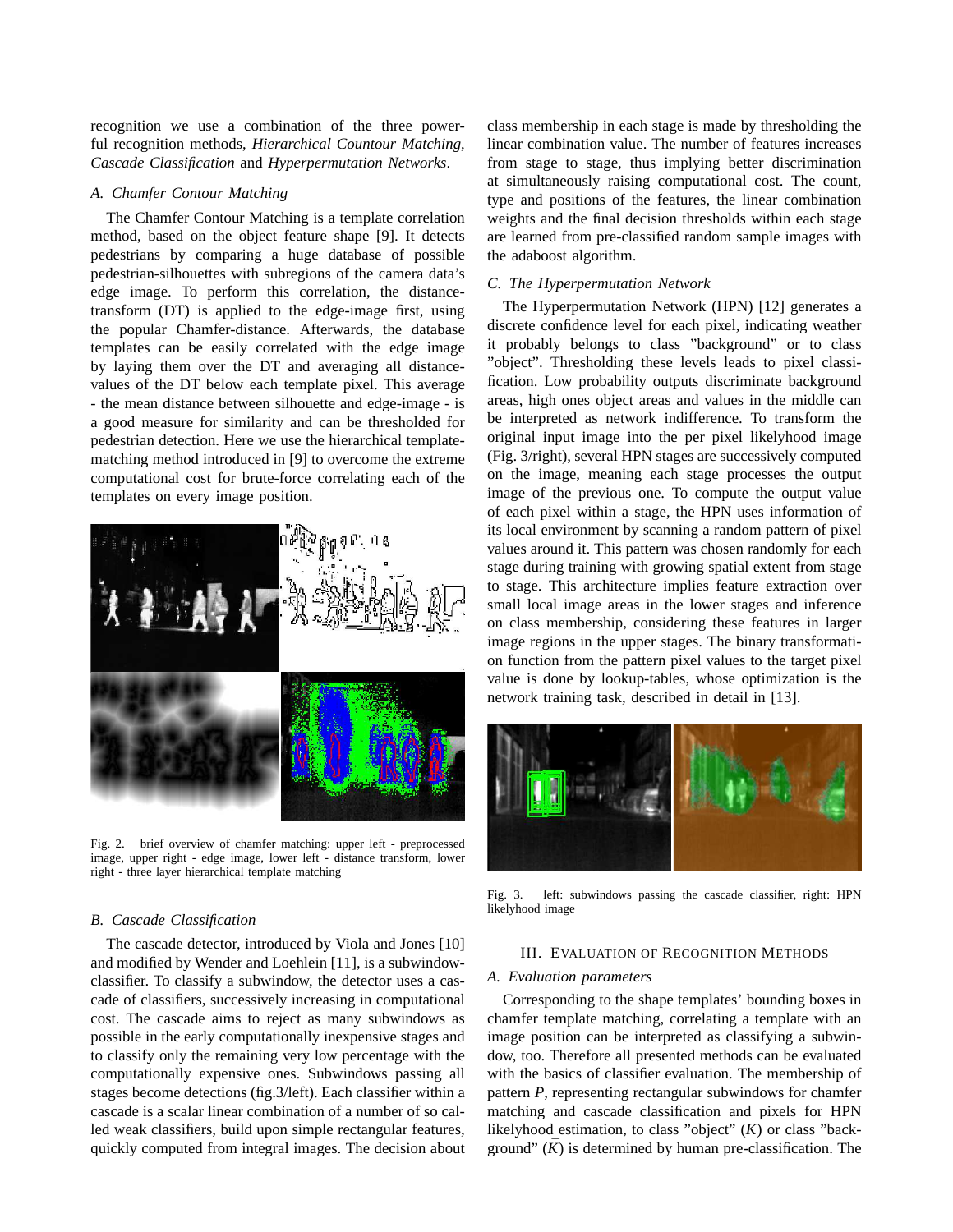recognition we use a combination of the three powerful recognition methods, *Hierarchical Countour Matching*, *Cascade Classification* and *Hyperpermutation Networks*.

## *A. Chamfer Contour Matching*

The Chamfer Contour Matching is a template correlation method, based on the object feature shape [9]. It detects pedestrians by comparing a huge database of possible pedestrian-silhouettes with subregions of the camera data's edge image. To perform this correlation, the distancetransform (DT) is applied to the edge-image first, using the popular Chamfer-distance. Afterwards, the database templates can be easily correlated with the edge image by laying them over the DT and averaging all distancevalues of the DT below each template pixel. This average - the mean distance between silhouette and edge-image - is a good measure for similarity and can be thresholded for pedestrian detection. Here we use the hierarchical templatematching method introduced in [9] to overcome the extreme computational cost for brute-force correlating each of the templates on every image position.



Fig. 2. brief overview of chamfer matching: upper left - preprocessed image, upper right - edge image, lower left - distance transform, lower right - three layer hierarchical template matching

#### *B. Cascade Classification*

The cascade detector, introduced by Viola and Jones [10] and modified by Wender and Loehlein [11], is a subwindowclassifier. To classify a subwindow, the detector uses a cascade of classifiers, successively increasing in computational cost. The cascade aims to reject as many subwindows as possible in the early computationally inexpensive stages and to classify only the remaining very low percentage with the computationally expensive ones. Subwindows passing all stages become detections (fig.3/left). Each classifier within a cascade is a scalar linear combination of a number of so called weak classifiers, build upon simple rectangular features, quickly computed from integral images. The decision about

class membership in each stage is made by thresholding the linear combination value. The number of features increases from stage to stage, thus implying better discrimination at simultaneously raising computational cost. The count, type and positions of the features, the linear combination weights and the final decision thresholds within each stage are learned from pre-classified random sample images with the adaboost algorithm.

# *C. The Hyperpermutation Network*

The Hyperpermutation Network (HPN) [12] generates a discrete confidence level for each pixel, indicating weather it probably belongs to class "background" or to class "object". Thresholding these levels leads to pixel classification. Low probability outputs discriminate background areas, high ones object areas and values in the middle can be interpreted as network indifference. To transform the original input image into the per pixel likelyhood image (Fig. 3/right), several HPN stages are successively computed on the image, meaning each stage processes the output image of the previous one. To compute the output value of each pixel within a stage, the HPN uses information of its local environment by scanning a random pattern of pixel values around it. This pattern was chosen randomly for each stage during training with growing spatial extent from stage to stage. This architecture implies feature extraction over small local image areas in the lower stages and inference on class membership, considering these features in larger image regions in the upper stages. The binary transformation function from the pattern pixel values to the target pixel value is done by lookup-tables, whose optimization is the network training task, described in detail in [13].



Fig. 3. left: subwindows passing the cascade classifier, right: HPN likelyhood image

#### III. EVALUATION OF RECOGNITION METHODS

#### *A. Evaluation parameters*

Corresponding to the shape templates' bounding boxes in chamfer template matching, correlating a template with an image position can be interpreted as classifying a subwindow, too. Therefore all presented methods can be evaluated with the basics of classifier evaluation. The membership of pattern *P*, representing rectangular subwindows for chamfer matching and cascade classification and pixels for HPN likelyhood estimation, to class "object" (*K*) or class "background"  $(K)$  is determined by human pre-classification. The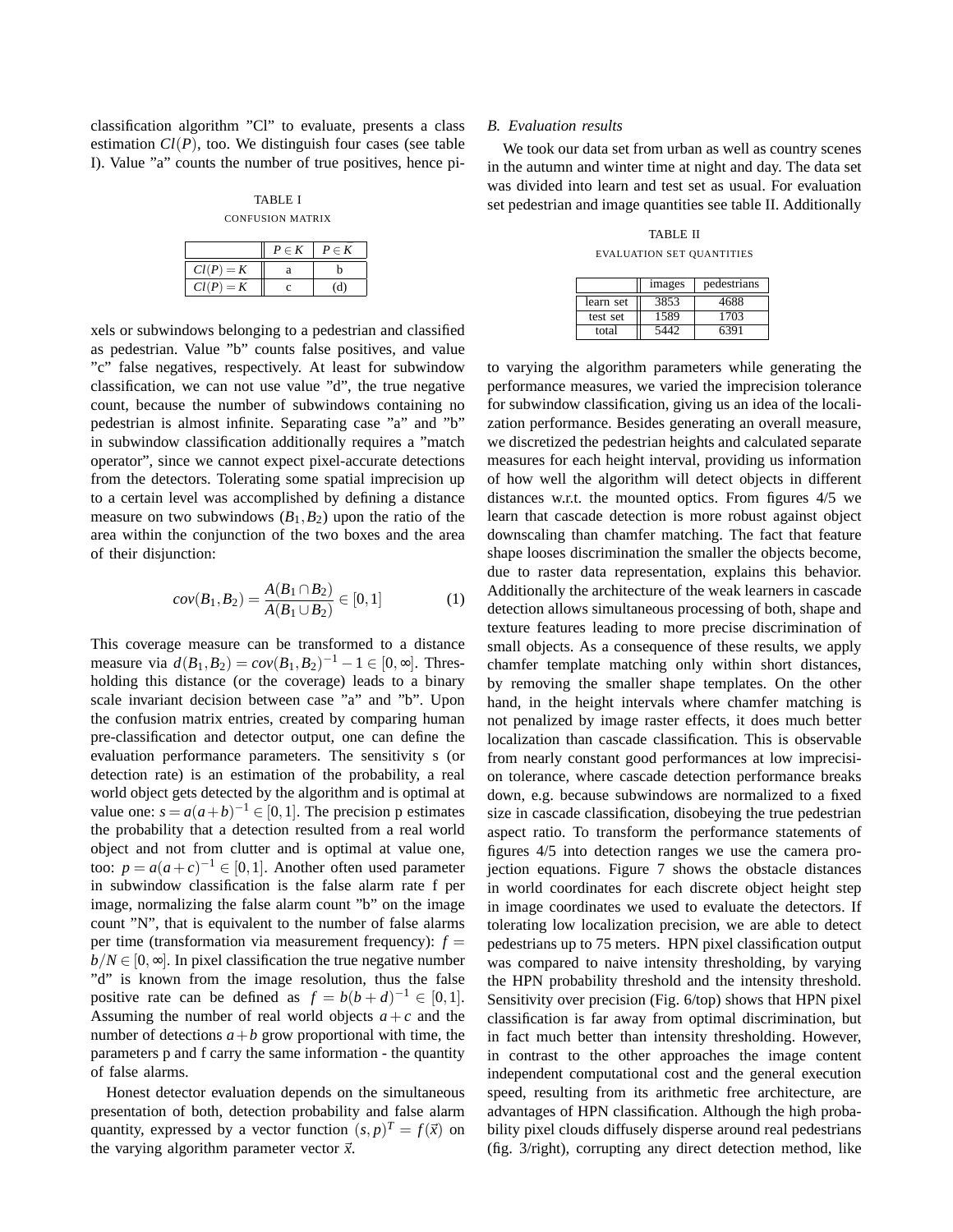classification algorithm "Cl" to evaluate, presents a class estimation  $Cl(P)$ , too. We distinguish four cases (see table I). Value "a" counts the number of true positives, hence pi-

TABLE I CONFUSION MATRIX

|                | $P \in K$ | $P \in K$ |
|----------------|-----------|-----------|
| $Cl(P) = K$    |           |           |
| Cl(P)<br>$= K$ |           |           |

xels or subwindows belonging to a pedestrian and classified as pedestrian. Value "b" counts false positives, and value "c" false negatives, respectively. At least for subwindow classification, we can not use value "d", the true negative count, because the number of subwindows containing no pedestrian is almost infinite. Separating case "a" and "b" in subwindow classification additionally requires a "match operator", since we cannot expect pixel-accurate detections from the detectors. Tolerating some spatial imprecision up to a certain level was accomplished by defining a distance measure on two subwindows  $(B_1, B_2)$  upon the ratio of the area within the conjunction of the two boxes and the area of their disjunction:

$$
cov(B_1, B_2) = \frac{A(B_1 \cap B_2)}{A(B_1 \cup B_2)} \in [0, 1]
$$
 (1)

This coverage measure can be transformed to a distance measure via  $d(B_1, B_2) = cov(B_1, B_2)^{-1} - 1 \in [0, ∞]$ . Thresholding this distance (or the coverage) leads to a binary scale invariant decision between case "a" and "b". Upon the confusion matrix entries, created by comparing human pre-classification and detector output, one can define the evaluation performance parameters. The sensitivity s (or detection rate) is an estimation of the probability, a real world object gets detected by the algorithm and is optimal at value one:  $s = a(a+b)^{-1} \in [0,1]$ . The precision p estimates the probability that a detection resulted from a real world object and not from clutter and is optimal at value one, too:  $p = a(a+c)^{-1} \in [0,1]$ . Another often used parameter in subwindow classification is the false alarm rate f per image, normalizing the false alarm count "b" on the image count "N", that is equivalent to the number of false alarms per time (transformation via measurement frequency):  $f =$  $b/N \in [0, \infty]$ . In pixel classification the true negative number "d" is known from the image resolution, thus the false positive rate can be defined as  $f = b(b+d)^{-1} \in [0,1]$ . Assuming the number of real world objects  $a + c$  and the number of detections  $a + b$  grow proportional with time, the parameters p and f carry the same information - the quantity of false alarms.

Honest detector evaluation depends on the simultaneous presentation of both, detection probability and false alarm quantity, expressed by a vector function  $(s, p)^T = f(\vec{x})$  on the varying algorithm parameter vector  $\vec{x}$ .

#### *B. Evaluation results*

We took our data set from urban as well as country scenes in the autumn and winter time at night and day. The data set was divided into learn and test set as usual. For evaluation set pedestrian and image quantities see table II. Additionally

TABLE II EVALUATION SET QUANTITIES

|           | images | pedestrians |
|-----------|--------|-------------|
| learn set | 3853   | 4688        |
| test set  | 1589   | 1703        |
| total     |        | 6391        |

to varying the algorithm parameters while generating the performance measures, we varied the imprecision tolerance for subwindow classification, giving us an idea of the localization performance. Besides generating an overall measure, we discretized the pedestrian heights and calculated separate measures for each height interval, providing us information of how well the algorithm will detect objects in different distances w.r.t. the mounted optics. From figures 4/5 we learn that cascade detection is more robust against object downscaling than chamfer matching. The fact that feature shape looses discrimination the smaller the objects become, due to raster data representation, explains this behavior. Additionally the architecture of the weak learners in cascade detection allows simultaneous processing of both, shape and texture features leading to more precise discrimination of small objects. As a consequence of these results, we apply chamfer template matching only within short distances, by removing the smaller shape templates. On the other hand, in the height intervals where chamfer matching is not penalized by image raster effects, it does much better localization than cascade classification. This is observable from nearly constant good performances at low imprecision tolerance, where cascade detection performance breaks down, e.g. because subwindows are normalized to a fixed size in cascade classification, disobeying the true pedestrian aspect ratio. To transform the performance statements of figures 4/5 into detection ranges we use the camera projection equations. Figure 7 shows the obstacle distances in world coordinates for each discrete object height step in image coordinates we used to evaluate the detectors. If tolerating low localization precision, we are able to detect pedestrians up to 75 meters. HPN pixel classification output was compared to naive intensity thresholding, by varying the HPN probability threshold and the intensity threshold. Sensitivity over precision (Fig. 6/top) shows that HPN pixel classification is far away from optimal discrimination, but in fact much better than intensity thresholding. However, in contrast to the other approaches the image content independent computational cost and the general execution speed, resulting from its arithmetic free architecture, are advantages of HPN classification. Although the high probability pixel clouds diffusely disperse around real pedestrians (fig. 3/right), corrupting any direct detection method, like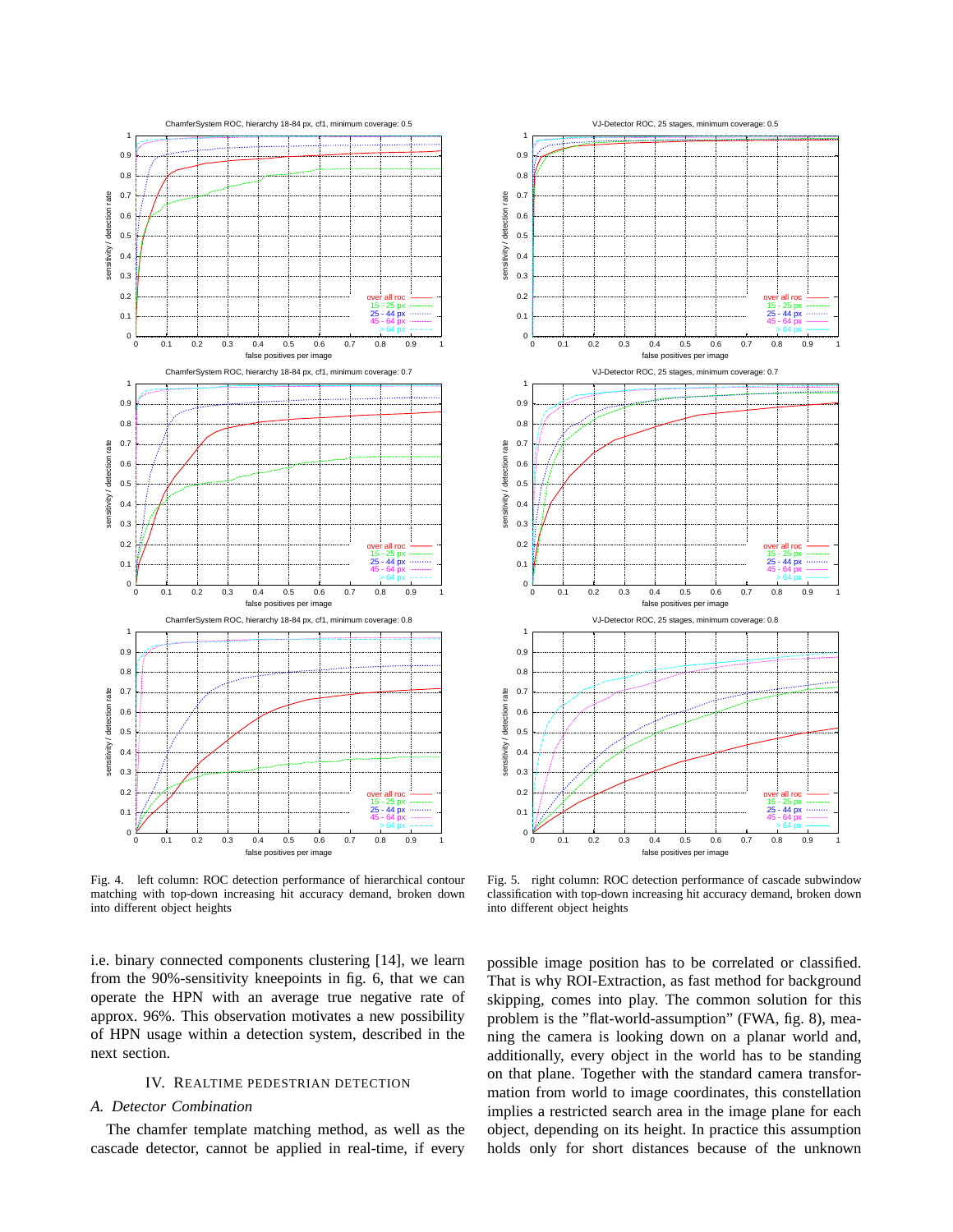

Fig. 4. left column: ROC detection performance of hierarchical contour matching with top-down increasing hit accuracy demand, broken down into different object heights

i.e. binary connected components clustering [14], we learn from the 90%-sensitivity kneepoints in fig. 6, that we can operate the HPN with an average true negative rate of approx. 96%. This observation motivates a new possibility of HPN usage within a detection system, described in the next section.

## IV. REALTIME PEDESTRIAN DETECTION

#### *A. Detector Combination*

The chamfer template matching method, as well as the cascade detector, cannot be applied in real-time, if every



Fig. 5. right column: ROC detection performance of cascade subwindow classification with top-down increasing hit accuracy demand, broken down into different object heights

possible image position has to be correlated or classified. That is why ROI-Extraction, as fast method for background skipping, comes into play. The common solution for this problem is the "flat-world-assumption" (FWA, fig. 8), meaning the camera is looking down on a planar world and, additionally, every object in the world has to be standing on that plane. Together with the standard camera transformation from world to image coordinates, this constellation implies a restricted search area in the image plane for each object, depending on its height. In practice this assumption holds only for short distances because of the unknown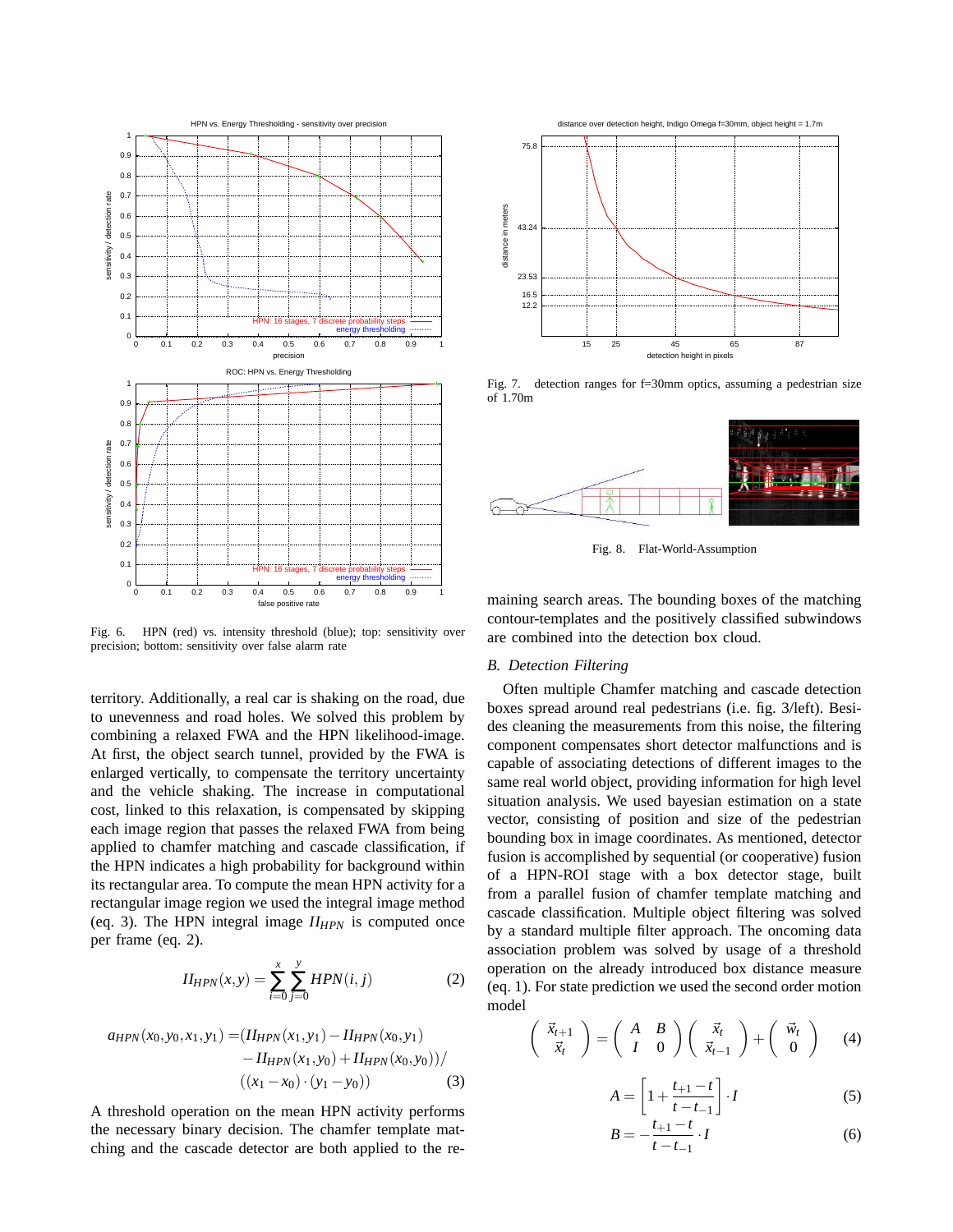

Fig. 6. HPN (red) vs. intensity threshold (blue); top: sensitivity over precision; bottom: sensitivity over false alarm rate

territory. Additionally, a real car is shaking on the road, due to unevenness and road holes. We solved this problem by combining a relaxed FWA and the HPN likelihood-image. At first, the object search tunnel, provided by the FWA is enlarged vertically, to compensate the territory uncertainty and the vehicle shaking. The increase in computational cost, linked to this relaxation, is compensated by skipping each image region that passes the relaxed FWA from being applied to chamfer matching and cascade classification, if the HPN indicates a high probability for background within its rectangular area. To compute the mean HPN activity for a rectangular image region we used the integral image method (eq. 3). The HPN integral image *IIHPN* is computed once per frame (eq. 2).

$$
II_{HPN}(x, y) = \sum_{i=0}^{x} \sum_{j=0}^{y} HPN(i, j)
$$
 (2)

$$
a_{HPN}(x_0, y_0, x_1, y_1) = (H_{HPN}(x_1, y_1) - H_{HPN}(x_0, y_1) - H_{HPN}(x_1, y_0) + H_{HPN}(x_0, y_0))/
$$

$$
((x_1 - x_0) \cdot (y_1 - y_0)) \tag{3}
$$

A threshold operation on the mean HPN activity performs the necessary binary decision. The chamfer template matching and the cascade detector are both applied to the re-



Fig. 7. detection ranges for f=30mm optics, assuming a pedestrian size of 1.70m



Fig. 8. Flat-World-Assumption

maining search areas. The bounding boxes of the matching contour-templates and the positively classified subwindows are combined into the detection box cloud.

# *B. Detection Filtering*

Often multiple Chamfer matching and cascade detection boxes spread around real pedestrians (i.e. fig. 3/left). Besides cleaning the measurements from this noise, the filtering component compensates short detector malfunctions and is capable of associating detections of different images to the same real world object, providing information for high level situation analysis. We used bayesian estimation on a state vector, consisting of position and size of the pedestrian bounding box in image coordinates. As mentioned, detector fusion is accomplished by sequential (or cooperative) fusion of a HPN-ROI stage with a box detector stage, built from a parallel fusion of chamfer template matching and cascade classification. Multiple object filtering was solved by a standard multiple filter approach. The oncoming data association problem was solved by usage of a threshold operation on the already introduced box distance measure (eq. 1). For state prediction we used the second order motion model  $\overline{a}$  $\mathbf{r}$  $\overline{a}$  $\mathbf{r}$  $\overline{a}$  $\mathbf{r}$ 

$$
\begin{pmatrix} \vec{x}_{t+1} \\ \vec{x}_t \end{pmatrix} = \begin{pmatrix} A & B \\ I & 0 \end{pmatrix} \begin{pmatrix} \vec{x}_t \\ \vec{x}_{t-1} \end{pmatrix} + \begin{pmatrix} \vec{w}_t \\ 0 \end{pmatrix} \quad (4)
$$

$$
A = \left[1 + \frac{t_{+1} - t}{t - t_{-1}}\right] \cdot I \tag{5}
$$

$$
B = -\frac{t_{+1} - t}{t - t_{-1}} \cdot I \tag{6}
$$